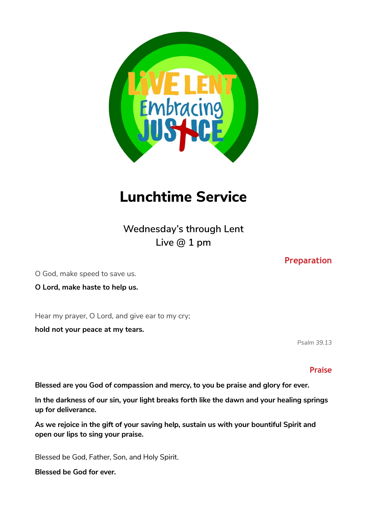

# **Lunchtime Service**

**Wednesday's through Lent Live @ 1 pm** 

O God, make speed to save us.

**O Lord, make haste to help us.**

Hear my prayer, O Lord, and give ear to my cry;

**hold not your peace at my tears.** 

*Psalm 39.13*

#### **Praise**

**Blessed are you God of compassion and mercy, to you be praise and glory for ever.** 

**In the darkness of our sin, your light breaks forth like the dawn and your healing springs up for deliverance.** 

**As we rejoice in the gift of your saving help, sustain us with your bountiful Spirit and open our lips to sing your praise.** 

Blessed be God, Father, Son, and Holy Spirit.

**Blessed be God for ever.** 

### **Preparation**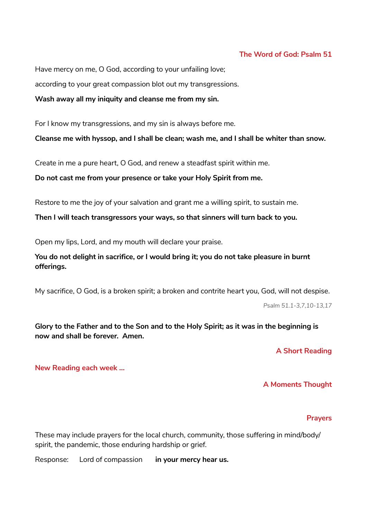#### **The Word of God: Psalm 51**

Have mercy on me, O God, according to your unfailing love; according to your great compassion blot out my transgressions.

**Wash away all my iniquity and cleanse me from my sin.** 

For I know my transgressions, and my sin is always before me.

**Cleanse me with hyssop, and I shall be clean; wash me, and I shall be whiter than snow.** 

Create in me a pure heart, O God, and renew a steadfast spirit within me.

**Do not cast me from your presence or take your Holy Spirit from me.** 

Restore to me the joy of your salvation and grant me a willing spirit, to sustain me.

**Then I will teach transgressors your ways, so that sinners will turn back to you.** 

Open my lips, Lord, and my mouth will declare your praise.

**You do not delight in sacrifice, or I would bring it; you do not take pleasure in burnt offerings.** 

My sacrifice, O God, is a broken spirit; a broken and contrite heart you, God, will not despise.

*Psalm 51.1-3,7,10-13,17* 

**Glory to the Father and to the Son and to the Holy Spirit; as it was in the beginning is now and shall be forever. Amen.** 

**A Short Reading** 

**New Reading each week …** 

#### **A Moments Thought**

#### **Prayers**

These may include prayers for the local church, community, those suffering in mind/body/ spirit, the pandemic, those enduring hardship or grief.

Response: Lord of compassion **in your mercy hear us.**